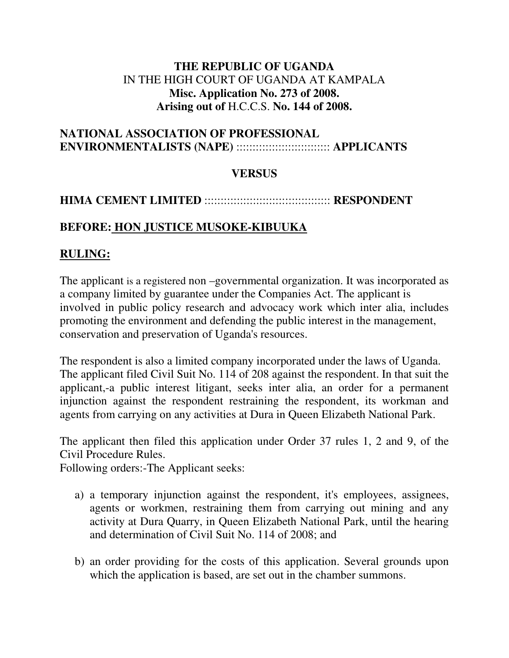### **THE REPUBLIC OF UGANDA**  IN THE HIGH COURT OF UGANDA AT KAMPALA **Misc. Application No. 273 of 2008. Arising out of** H.C.C.S. **No. 144 of 2008.**

#### **NATIONAL ASSOCIATION OF PROFESSIONAL ENVIRONMENTALISTS (NAPE)** ::::::::::::::::::::::::::::: **APPLICANTS**

### **VERSUS**

## **HIMA CEMENT LIMITED** ::::::::::::::::::::::::::::::::::::::: **RESPONDENT**

## **BEFORE: HON JUSTICE MUSOKE-KIBUUKA**

# **RULING:**

The applicant is a registered non –governmental organization. It was incorporated as a company limited by guarantee under the Companies Act. The applicant is involved in public policy research and advocacy work which inter alia, includes promoting the environment and defending the public interest in the management, conservation and preservation of Uganda's resources.

The respondent is also a limited company incorporated under the laws of Uganda. The applicant filed Civil Suit No. 114 of 208 against the respondent. In that suit the applicant,-a public interest litigant, seeks inter alia, an order for a permanent injunction against the respondent restraining the respondent, its workman and agents from carrying on any activities at Dura in Queen Elizabeth National Park.

The applicant then filed this application under Order 37 rules 1, 2 and 9, of the Civil Procedure Rules.

Following orders:-The Applicant seeks:

- a) a temporary injunction against the respondent, it's employees, assignees, agents or workmen, restraining them from carrying out mining and any activity at Dura Quarry, in Queen Elizabeth National Park, until the hearing and determination of Civil Suit No. 114 of 2008; and
- b) an order providing for the costs of this application. Several grounds upon which the application is based, are set out in the chamber summons.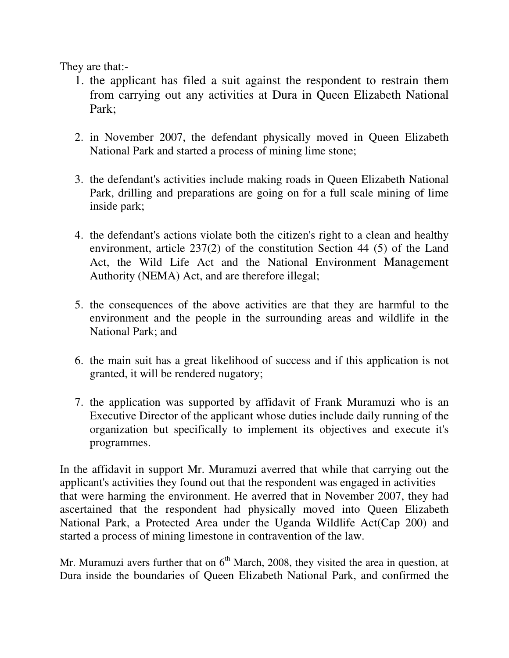They are that:-

- 1. the applicant has filed a suit against the respondent to restrain them from carrying out any activities at Dura in Queen Elizabeth National Park;
- 2. in November 2007, the defendant physically moved in Queen Elizabeth National Park and started a process of mining lime stone;
- 3. the defendant's activities include making roads in Queen Elizabeth National Park, drilling and preparations are going on for a full scale mining of lime inside park;
- 4. the defendant's actions violate both the citizen's right to a clean and healthy environment, article 237(2) of the constitution Section 44 (5) of the Land Act, the Wild Life Act and the National Environment Management Authority (NEMA) Act, and are therefore illegal;
- 5. the consequences of the above activities are that they are harmful to the environment and the people in the surrounding areas and wildlife in the National Park; and
- 6. the main suit has a great likelihood of success and if this application is not granted, it will be rendered nugatory;
- 7. the application was supported by affidavit of Frank Muramuzi who is an Executive Director of the applicant whose duties include daily running of the organization but specifically to implement its objectives and execute it's programmes.

In the affidavit in support Mr. Muramuzi averred that while that carrying out the applicant's activities they found out that the respondent was engaged in activities that were harming the environment. He averred that in November 2007, they had ascertained that the respondent had physically moved into Queen Elizabeth National Park, a Protected Area under the Uganda Wildlife Act(Cap 200) and started a process of mining limestone in contravention of the law.

Mr. Muramuzi avers further that on  $6<sup>th</sup>$  March, 2008, they visited the area in question, at Dura inside the boundaries of Queen Elizabeth National Park, and confirmed the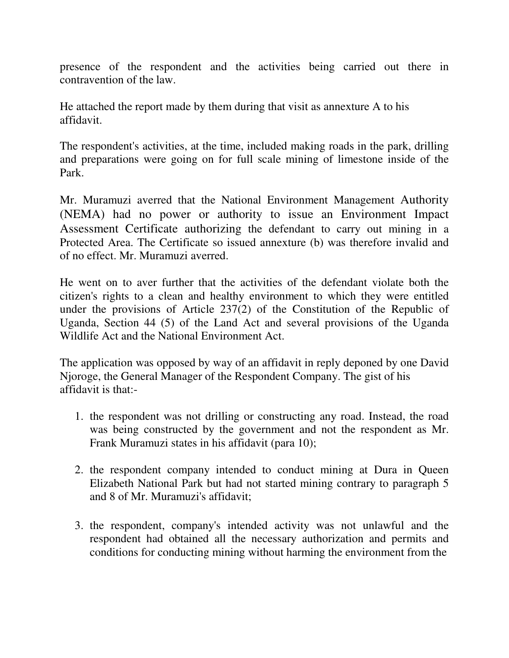presence of the respondent and the activities being carried out there in contravention of the law.

He attached the report made by them during that visit as annexture A to his affidavit.

The respondent's activities, at the time, included making roads in the park, drilling and preparations were going on for full scale mining of limestone inside of the Park.

Mr. Muramuzi averred that the National Environment Management Authority (NEMA) had no power or authority to issue an Environment Impact Assessment Certificate authorizing the defendant to carry out mining in a Protected Area. The Certificate so issued annexture (b) was therefore invalid and of no effect. Mr. Muramuzi averred.

He went on to aver further that the activities of the defendant violate both the citizen's rights to a clean and healthy environment to which they were entitled under the provisions of Article 237(2) of the Constitution of the Republic of Uganda, Section 44 (5) of the Land Act and several provisions of the Uganda Wildlife Act and the National Environment Act.

The application was opposed by way of an affidavit in reply deponed by one David Njoroge, the General Manager of the Respondent Company. The gist of his affidavit is that:-

- 1. the respondent was not drilling or constructing any road. Instead, the road was being constructed by the government and not the respondent as Mr. Frank Muramuzi states in his affidavit (para 10);
- 2. the respondent company intended to conduct mining at Dura in Queen Elizabeth National Park but had not started mining contrary to paragraph 5 and 8 of Mr. Muramuzi's affidavit;
- 3. the respondent, company's intended activity was not unlawful and the respondent had obtained all the necessary authorization and permits and conditions for conducting mining without harming the environment from the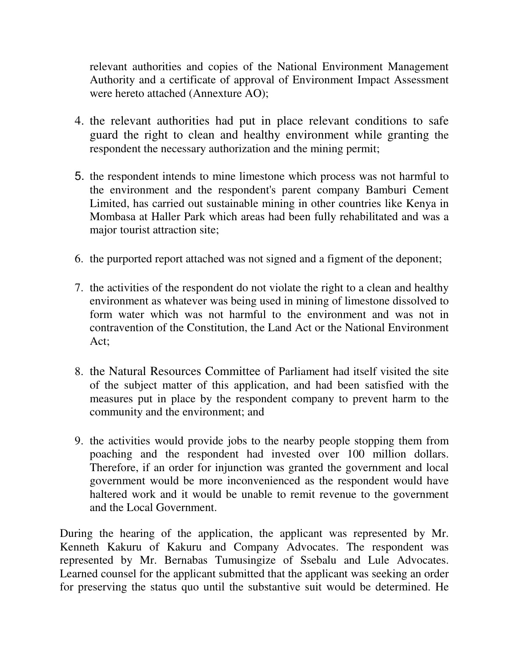relevant authorities and copies of the National Environment Management Authority and a certificate of approval of Environment Impact Assessment were hereto attached (Annexture AO);

- 4. the relevant authorities had put in place relevant conditions to safe guard the right to clean and healthy environment while granting the respondent the necessary authorization and the mining permit;
- 5. the respondent intends to mine limestone which process was not harmful to the environment and the respondent's parent company Bamburi Cement Limited, has carried out sustainable mining in other countries like Kenya in Mombasa at Haller Park which areas had been fully rehabilitated and was a major tourist attraction site;
- 6. the purported report attached was not signed and a figment of the deponent;
- 7. the activities of the respondent do not violate the right to a clean and healthy environment as whatever was being used in mining of limestone dissolved to form water which was not harmful to the environment and was not in contravention of the Constitution, the Land Act or the National Environment Act;
- 8. the Natural Resources Committee of Parliament had itself visited the site of the subject matter of this application, and had been satisfied with the measures put in place by the respondent company to prevent harm to the community and the environment; and
- 9. the activities would provide jobs to the nearby people stopping them from poaching and the respondent had invested over 100 million dollars. Therefore, if an order for injunction was granted the government and local government would be more inconvenienced as the respondent would have haltered work and it would be unable to remit revenue to the government and the Local Government.

During the hearing of the application, the applicant was represented by Mr. Kenneth Kakuru of Kakuru and Company Advocates. The respondent was represented by Mr. Bernabas Tumusingize of Ssebalu and Lule Advocates. Learned counsel for the applicant submitted that the applicant was seeking an order for preserving the status quo until the substantive suit would be determined. He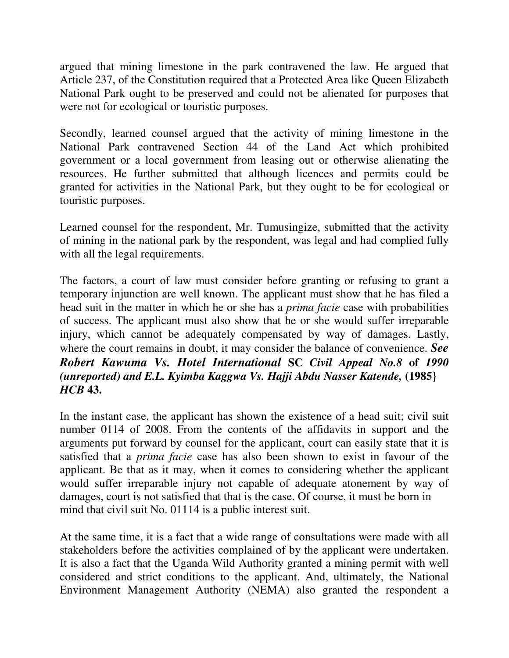argued that mining limestone in the park contravened the law. He argued that Article 237, of the Constitution required that a Protected Area like Queen Elizabeth National Park ought to be preserved and could not be alienated for purposes that were not for ecological or touristic purposes.

Secondly, learned counsel argued that the activity of mining limestone in the National Park contravened Section 44 of the Land Act which prohibited government or a local government from leasing out or otherwise alienating the resources. He further submitted that although licences and permits could be granted for activities in the National Park, but they ought to be for ecological or touristic purposes.

Learned counsel for the respondent, Mr. Tumusingize, submitted that the activity of mining in the national park by the respondent, was legal and had complied fully with all the legal requirements.

The factors, a court of law must consider before granting or refusing to grant a temporary injunction are well known. The applicant must show that he has filed a head suit in the matter in which he or she has a *prima facie* case with probabilities of success. The applicant must also show that he or she would suffer irreparable injury, which cannot be adequately compensated by way of damages. Lastly, where the court remains in doubt, it may consider the balance of convenience. *See Robert Kawuma Vs. Hotel International* **SC** *Civil Appeal No.8* **of** *1990 (unreported) and E.L. Kyimba Kaggwa Vs. Hajji Abdu Nasser Katende,* **(1985}** *HCB* **43.**

In the instant case, the applicant has shown the existence of a head suit; civil suit number 0114 of 2008. From the contents of the affidavits in support and the arguments put forward by counsel for the applicant, court can easily state that it is satisfied that a *prima facie* case has also been shown to exist in favour of the applicant. Be that as it may, when it comes to considering whether the applicant would suffer irreparable injury not capable of adequate atonement by way of damages, court is not satisfied that that is the case. Of course, it must be born in mind that civil suit No. 01114 is a public interest suit.

At the same time, it is a fact that a wide range of consultations were made with all stakeholders before the activities complained of by the applicant were undertaken. It is also a fact that the Uganda Wild Authority granted a mining permit with well considered and strict conditions to the applicant. And, ultimately, the National Environment Management Authority (NEMA) also granted the respondent a